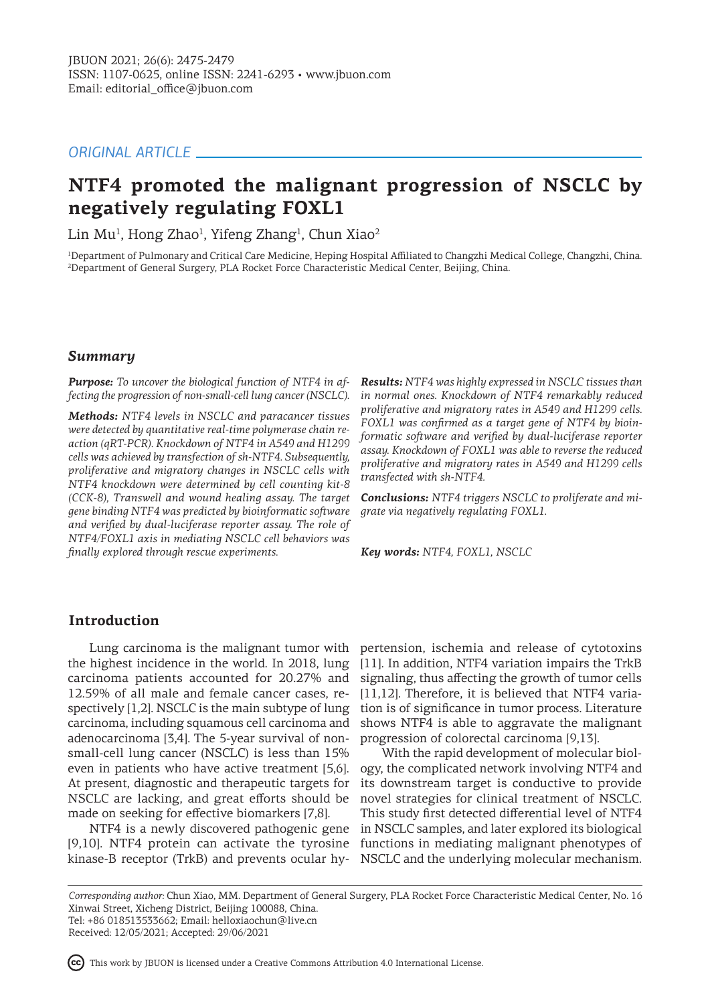# *ORIGINAL ARTICLE*

# **NTF4 promoted the malignant progression of NSCLC by negatively regulating FOXL1**

Lin Mu<sup>1</sup>, Hong Zhao<sup>1</sup>, Yifeng Zhang<sup>1</sup>, Chun Xiao<sup>2</sup>

1 Department of Pulmonary and Critical Care Medicine, Heping Hospital Affiliated to Changzhi Medical College, Changzhi, China. 2 Department of General Surgery, PLA Rocket Force Characteristic Medical Center, Beijing, China.

### *Summary*

*Purpose: To uncover the biological function of NTF4 in affecting the progression of non-small-cell lung cancer (NSCLC).* 

*Methods: NTF4 levels in NSCLC and paracancer tissues were detected by quantitative real-time polymerase chain reaction (qRT-PCR). Knockdown of NTF4 in A549 and H1299 cells was achieved by transfection of sh-NTF4. Subsequently, proliferative and migratory changes in NSCLC cells with NTF4 knockdown were determined by cell counting kit-8 (CCK-8), Transwell and wound healing assay. The target gene binding NTF4 was predicted by bioinformatic software and verified by dual-luciferase reporter assay. The role of NTF4/FOXL1 axis in mediating NSCLC cell behaviors was finally explored through rescue experiments.* 

*Results: NTF4 was highly expressed in NSCLC tissues than in normal ones. Knockdown of NTF4 remarkably reduced proliferative and migratory rates in A549 and H1299 cells. FOXL1 was confirmed as a target gene of NTF4 by bioinformatic software and verified by dual-luciferase reporter assay. Knockdown of FOXL1 was able to reverse the reduced proliferative and migratory rates in A549 and H1299 cells transfected with sh-NTF4.* 

*Conclusions: NTF4 triggers NSCLC to proliferate and migrate via negatively regulating FOXL1.* 

*Key words: NTF4, FOXL1, NSCLC* 

# **Introduction**

Lung carcinoma is the malignant tumor with the highest incidence in the world. In 2018, lung carcinoma patients accounted for 20.27% and 12.59% of all male and female cancer cases, respectively [1,2]. NSCLC is the main subtype of lung carcinoma, including squamous cell carcinoma and adenocarcinoma [3,4]. The 5-year survival of nonsmall-cell lung cancer (NSCLC) is less than 15% even in patients who have active treatment [5,6]. At present, diagnostic and therapeutic targets for NSCLC are lacking, and great efforts should be made on seeking for effective biomarkers [7,8].

NTF4 is a newly discovered pathogenic gene [9,10]. NTF4 protein can activate the tyrosine functions in mediating malignant phenotypes of kinase-B receptor (TrkB) and prevents ocular hy-NSCLC and the underlying molecular mechanism.

pertension, ischemia and release of cytotoxins [11]. In addition, NTF4 variation impairs the TrkB signaling, thus affecting the growth of tumor cells [11,12]. Therefore, it is believed that NTF4 variation is of significance in tumor process. Literature shows NTF4 is able to aggravate the malignant progression of colorectal carcinoma [9,13].

With the rapid development of molecular biology, the complicated network involving NTF4 and its downstream target is conductive to provide novel strategies for clinical treatment of NSCLC. This study first detected differential level of NTF4 in NSCLC samples, and later explored its biological

*Corresponding author:* Chun Xiao, MM. Department of General Surgery, PLA Rocket Force Characteristic Medical Center, No. 16 Xinwai Street, Xicheng District, Beijing 100088, China. Tel: +86 018513533662; Email: helloxiaochun@live.cn Received: 12/05/2021; Accepted: 29/06/2021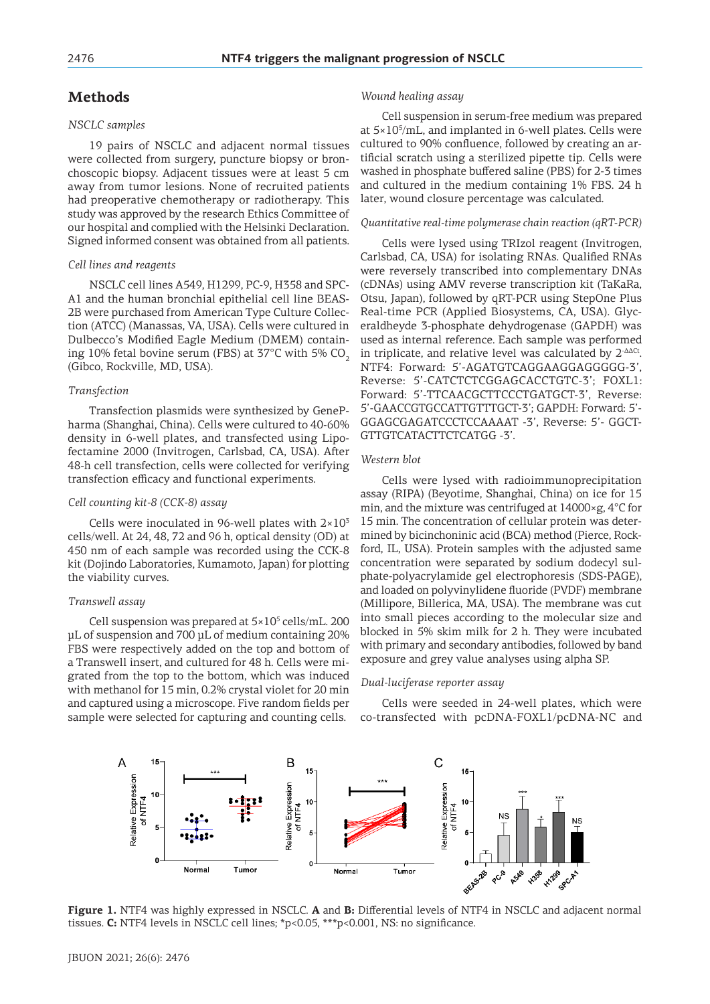# **Methods**

### *NSCLC samples*

19 pairs of NSCLC and adjacent normal tissues were collected from surgery, puncture biopsy or bronchoscopic biopsy. Adjacent tissues were at least 5 cm away from tumor lesions. None of recruited patients had preoperative chemotherapy or radiotherapy. This study was approved by the research Ethics Committee of our hospital and complied with the Helsinki Declaration. Signed informed consent was obtained from all patients.

#### *Cell lines and reagents*

NSCLC cell lines A549, H1299, PC-9, H358 and SPC-A1 and the human bronchial epithelial cell line BEAS-2B were purchased from American Type Culture Collection (ATCC) (Manassas, VA, USA). Cells were cultured in Dulbecco's Modified Eagle Medium (DMEM) containing 10% fetal bovine serum (FBS) at  $37^{\circ}$ C with 5% CO<sub>2</sub> (Gibco, Rockville, MD, USA).

#### *Transfection*

Transfection plasmids were synthesized by GenePharma (Shanghai, China). Cells were cultured to 40-60% density in 6-well plates, and transfected using Lipofectamine 2000 (Invitrogen, Carlsbad, CA, USA). After 48-h cell transfection, cells were collected for verifying transfection efficacy and functional experiments.

### *Cell counting kit-8 (CCK-8) assay*

Cells were inoculated in 96-well plates with  $2\times10^{3}$ cells/well. At 24, 48, 72 and 96 h, optical density (OD) at 450 nm of each sample was recorded using the CCK-8 kit (Dojindo Laboratories, Kumamoto, Japan) for plotting the viability curves.

### *Transwell assay*

Cell suspension was prepared at 5×10<sup>5</sup> cells/mL. 200 μL of suspension and 700 μL of medium containing 20% FBS were respectively added on the top and bottom of a Transwell insert, and cultured for 48 h. Cells were migrated from the top to the bottom, which was induced with methanol for 15 min, 0.2% crystal violet for 20 min and captured using a microscope. Five random fields per sample were selected for capturing and counting cells.

### *Wound healing assay*

Cell suspension in serum-free medium was prepared at  $5\times10^5$ /mL, and implanted in 6-well plates. Cells were cultured to 90% confluence, followed by creating an artificial scratch using a sterilized pipette tip. Cells were washed in phosphate buffered saline (PBS) for 2-3 times and cultured in the medium containing 1% FBS. 24 h later, wound closure percentage was calculated.

#### *Quantitative real-time polymerase chain reaction (qRT-PCR)*

Cells were lysed using TRIzol reagent (Invitrogen, Carlsbad, CA, USA) for isolating RNAs. Qualified RNAs were reversely transcribed into complementary DNAs (cDNAs) using AMV reverse transcription kit (TaKaRa, Otsu, Japan), followed by qRT-PCR using StepOne Plus Real-time PCR (Applied Biosystems, CA, USA). Glyceraldheyde 3-phosphate dehydrogenase (GAPDH) was used as internal reference. Each sample was performed in triplicate, and relative level was calculated by  $2^{\Delta\Delta\text{Ct}}$ . NTF4: Forward: 5'-AGATGTCAGGAAGGAGGGGG-3', Reverse: 5'-CATCTCTCGGAGCACCTGTC-3'; FOXL1: Forward: 5'-TTCAACGCTTCCCTGATGCT-3', Reverse: 5'-GAACCGTGCCATTGTTTGCT-3'; GAPDH: Forward: 5'- GGAGCGAGATCCCTCCAAAAT -3', Reverse: 5'- GGCT-GTTGTCATACTTCTCATGG -3'.

#### *Western blot*

Cells were lysed with radioimmunoprecipitation assay (RIPA) (Beyotime, Shanghai, China) on ice for 15 min, and the mixture was centrifuged at 14000×g, 4°C for 15 min. The concentration of cellular protein was determined by bicinchoninic acid (BCA) method (Pierce, Rockford, IL, USA). Protein samples with the adjusted same concentration were separated by sodium dodecyl sulphate-polyacrylamide gel electrophoresis (SDS-PAGE), and loaded on polyvinylidene fluoride (PVDF) membrane (Millipore, Billerica, MA, USA). The membrane was cut into small pieces according to the molecular size and blocked in 5% skim milk for 2 h. They were incubated with primary and secondary antibodies, followed by band exposure and grey value analyses using alpha SP.

#### *Dual-luciferase reporter assay*

Cells were seeded in 24-well plates, which were co-transfected with pcDNA-FOXL1/pcDNA-NC and



**Figure 1.** NTF4 was highly expressed in NSCLC. **A** and **B:** Differential levels of NTF4 in NSCLC and adjacent normal tissues. **C:** NTF4 levels in NSCLC cell lines; \*p<0.05, \*\*\*p<0.001, NS: no significance.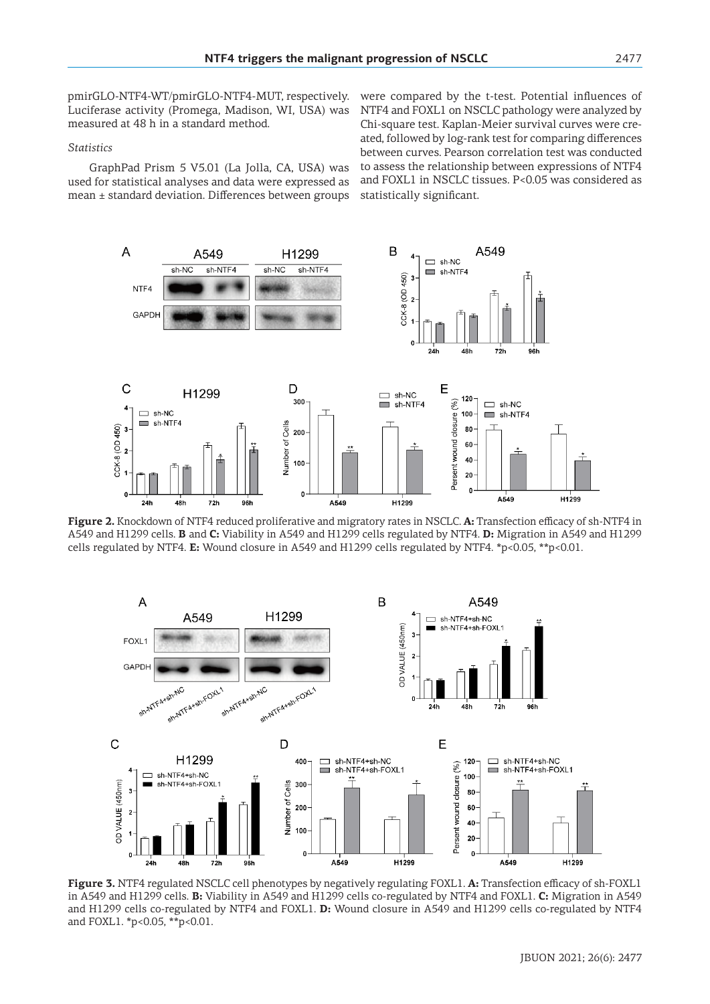pmirGLO-NTF4-WT/pmirGLO-NTF4-MUT, respectively. Luciferase activity (Promega, Madison, WI, USA) was measured at 48 h in a standard method.

### *Statistics*

GraphPad Prism 5 V5.01 (La Jolla, CA, USA) was used for statistical analyses and data were expressed as mean ± standard deviation. Differences between groups

were compared by the t-test. Potential influences of NTF4 and FOXL1 on NSCLC pathology were analyzed by Chi-square test. Kaplan-Meier survival curves were created, followed by log-rank test for comparing differences between curves. Pearson correlation test was conducted to assess the relationship between expressions of NTF4 and FOXL1 in NSCLC tissues. P<0.05 was considered as statistically significant.



**Figure 2.** Knockdown of NTF4 reduced proliferative and migratory rates in NSCLC. **A:** Transfection efficacy of sh-NTF4 in A549 and H1299 cells. **B** and **C:** Viability in A549 and H1299 cells regulated by NTF4. **D:** Migration in A549 and H1299 cells regulated by NTF4. **E:** Wound closure in A549 and H1299 cells regulated by NTF4. \*p<0.05, \*\*p<0.01.



**Figure 3.** NTF4 regulated NSCLC cell phenotypes by negatively regulating FOXL1. **A:** Transfection efficacy of sh-FOXL1 in A549 and H1299 cells. **B:** Viability in A549 and H1299 cells co-regulated by NTF4 and FOXL1. **C:** Migration in A549 and H1299 cells co-regulated by NTF4 and FOXL1. **D:** Wound closure in A549 and H1299 cells co-regulated by NTF4 and FOXL1. \*p<0.05, \*\*p<0.01.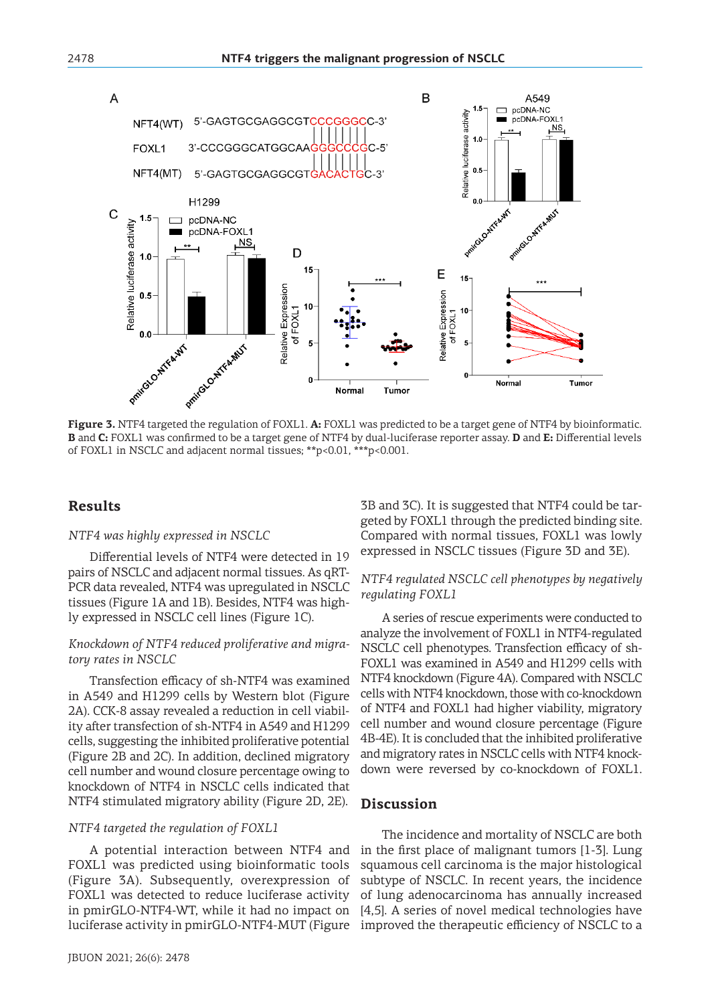

**Figure 3.** NTF4 targeted the regulation of FOXL1. **A:** FOXL1 was predicted to be a target gene of NTF4 by bioinformatic. **B** and **C:** FOXL1 was confirmed to be a target gene of NTF4 by dual-luciferase reporter assay. **D** and **E:** Differential levels of FOXL1 in NSCLC and adjacent normal tissues; \*\*p<0.01, \*\*\*p<0.001.

# **Results**

### *NTF4 was highly expressed in NSCLC*

Differential levels of NTF4 were detected in 19 pairs of NSCLC and adjacent normal tissues. As qRT-PCR data revealed, NTF4 was upregulated in NSCLC tissues (Figure 1A and 1B). Besides, NTF4 was highly expressed in NSCLC cell lines (Figure 1C).

### *Knockdown of NTF4 reduced proliferative and migratory rates in NSCLC*

Transfection efficacy of sh-NTF4 was examined in A549 and H1299 cells by Western blot (Figure 2A). CCK-8 assay revealed a reduction in cell viability after transfection of sh-NTF4 in A549 and H1299 cells, suggesting the inhibited proliferative potential (Figure 2B and 2C). In addition, declined migratory cell number and wound closure percentage owing to knockdown of NTF4 in NSCLC cells indicated that NTF4 stimulated migratory ability (Figure 2D, 2E).

### *NTF4 targeted the regulation of FOXL1*

A potential interaction between NTF4 and FOXL1 was predicted using bioinformatic tools (Figure 3A). Subsequently, overexpression of FOXL1 was detected to reduce luciferase activity in pmirGLO-NTF4-WT, while it had no impact on luciferase activity in pmirGLO-NTF4-MUT (Figure 3B and 3C). It is suggested that NTF4 could be targeted by FOXL1 through the predicted binding site. Compared with normal tissues, FOXL1 was lowly expressed in NSCLC tissues (Figure 3D and 3E).

## *NTF4 regulated NSCLC cell phenotypes by negatively regulating FOXL1*

A series of rescue experiments were conducted to analyze the involvement of FOXL1 in NTF4-regulated NSCLC cell phenotypes. Transfection efficacy of sh-FOXL1 was examined in A549 and H1299 cells with NTF4 knockdown (Figure 4A). Compared with NSCLC cells with NTF4 knockdown, those with co-knockdown of NTF4 and FOXL1 had higher viability, migratory cell number and wound closure percentage (Figure 4B-4E). It is concluded that the inhibited proliferative and migratory rates in NSCLC cells with NTF4 knockdown were reversed by co-knockdown of FOXL1.

### **Discussion**

The incidence and mortality of NSCLC are both in the first place of malignant tumors [1-3]. Lung squamous cell carcinoma is the major histological subtype of NSCLC. In recent years, the incidence of lung adenocarcinoma has annually increased [4,5]. A series of novel medical technologies have improved the therapeutic efficiency of NSCLC to a